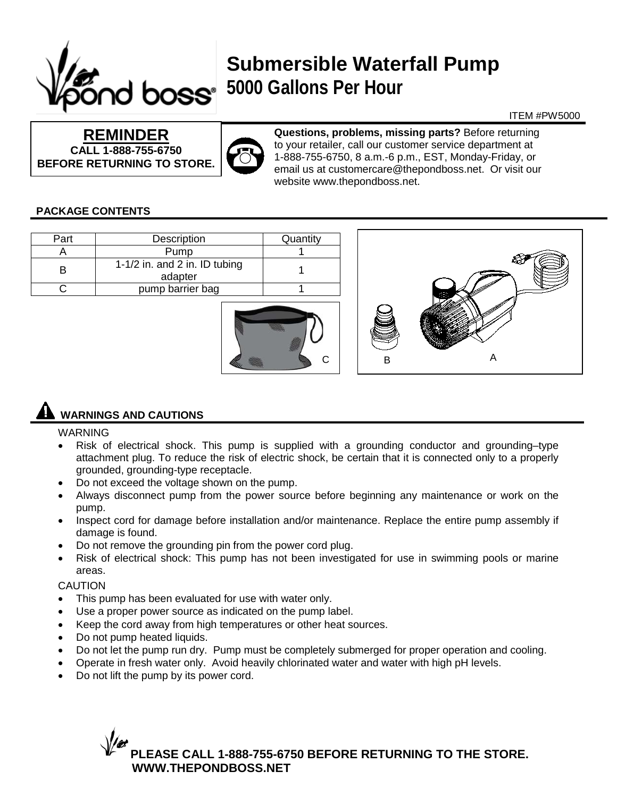

## **Submersible Waterfall Pump 5000 Gallons Per Hour**

#### ITEM #PW5000

**REMINDER CALL 1-888-755-6750 BEFORE RETURNING TO STORE.**



**Questions, problems, missing parts?** Before returning to your retailer, call our customer service department at 1-888-755-6750, 8 a.m.-6 p.m., EST, Monday-Friday, or email us at customercare@thepondboss.net. Or visit our website www.thepondboss.net.

 $C$  | | B A

#### **PACKAGE CONTENTS**

| Part | Description                              | Quantity |  |
|------|------------------------------------------|----------|--|
|      | Pump                                     |          |  |
| в    | 1-1/2 in. and 2 in. ID tubing<br>adapter |          |  |
|      | pump barrier bag                         |          |  |
|      |                                          |          |  |

### **WARNINGS AND CAUTIONS**

#### WARNING

- Risk of electrical shock. This pump is supplied with a grounding conductor and grounding–type attachment plug. To reduce the risk of electric shock, be certain that it is connected only to a properly grounded, grounding-type receptacle.
- Do not exceed the voltage shown on the pump.
- Always disconnect pump from the power source before beginning any maintenance or work on the pump.
- Inspect cord for damage before installation and/or maintenance. Replace the entire pump assembly if damage is found.
- Do not remove the grounding pin from the power cord plug.
- Risk of electrical shock: This pump has not been investigated for use in swimming pools or marine areas.

CAUTION

- This pump has been evaluated for use with water only.
- Use a proper power source as indicated on the pump label.
- Keep the cord away from high temperatures or other heat sources.
- Do not pump heated liquids.
- Do not let the pump run dry. Pump must be completely submerged for proper operation and cooling.
- Operate in fresh water only. Avoid heavily chlorinated water and water with high pH levels.
- Do not lift the pump by its power cord.

**PLEASE CALL 1-888-755-6750 BEFORE RETURNING TO THE STORE. WWW.THEPONDBOSS.NET**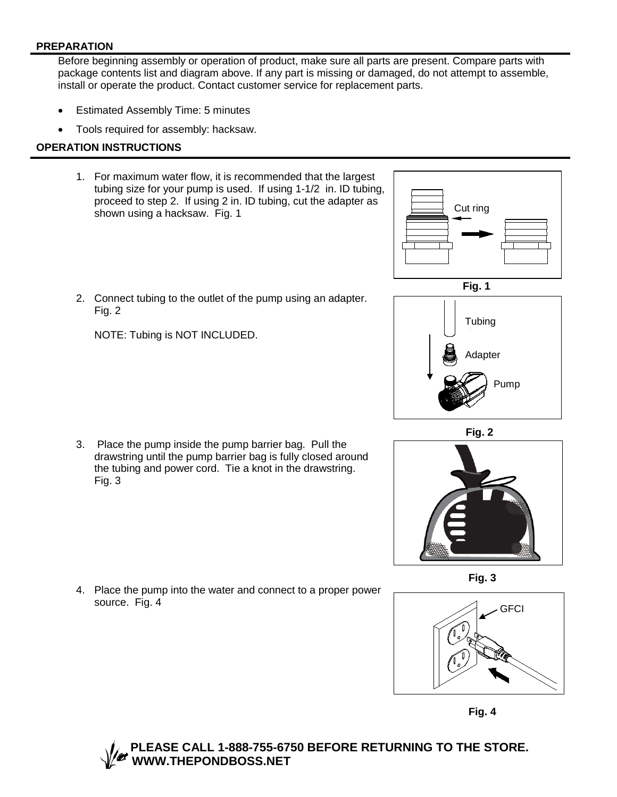#### **PREPARATION**

Before beginning assembly or operation of product, make sure all parts are present. Compare parts with package contents list and diagram above. If any part is missing or damaged, do not attempt to assemble, install or operate the product. Contact customer service for replacement parts.

- Estimated Assembly Time: 5 minutes
- Tools required for assembly: hacksaw.

#### **OPERATION INSTRUCTIONS**

1. For maximum water flow, it is recommended that the largest tubing size for your pump is used. If using 1-1/2 in. ID tubing, proceed to step 2. If using 2 in. ID tubing, cut the adapter as shown using a hacksaw. Fig. 1



 **Fig. 1** 2. Connect tubing to the outlet of the pump using an adapter. Fig. 2

NOTE: Tubing is NOT INCLUDED.

source. Fig. 4



4. Place the pump into the water and connect to a proper power





 **Fig. 2**



**Fig. 3**



**Fig. 4**

#### **PLEASE CALL 1-888-755-6750 BEFORE RETURNING TO THE STORE. WWW.THEPONDBOSS.NET**

3. Place the pump inside the pump barrier bag. Pull the Fig. 3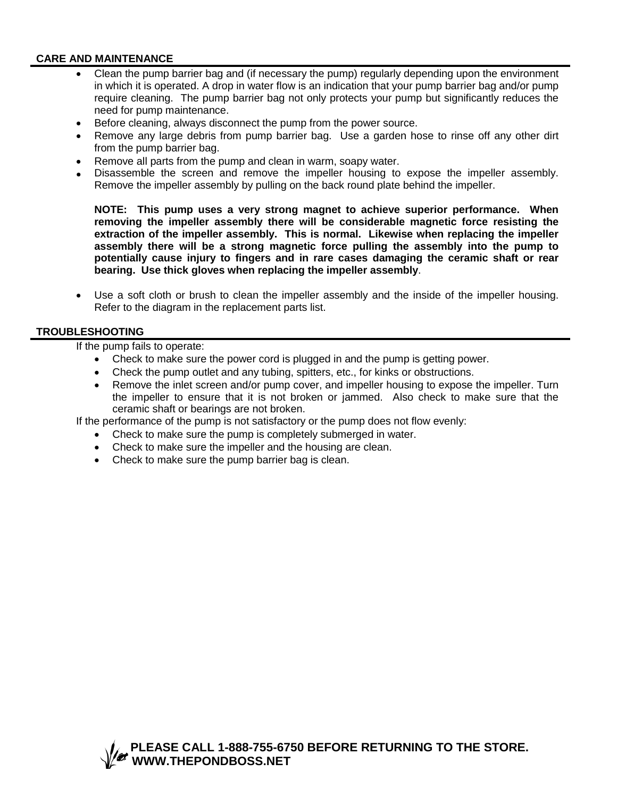#### **CARE AND MAINTENANCE**

- Clean the pump barrier bag and (if necessary the pump) regularly depending upon the environment in which it is operated. A drop in water flow is an indication that your pump barrier bag and/or pump require cleaning. The pump barrier bag not only protects your pump but significantly reduces the need for pump maintenance.
- Before cleaning, always disconnect the pump from the power source.
- Remove any large debris from pump barrier bag. Use a garden hose to rinse off any other dirt from the pump barrier bag.
- Remove all parts from the pump and clean in warm, soapy water.
- Disassemble the screen and remove the impeller housing to expose the impeller assembly. Remove the impeller assembly by pulling on the back round plate behind the impeller.

**NOTE: This pump uses a very strong magnet to achieve superior performance. When removing the impeller assembly there will be considerable magnetic force resisting the extraction of the impeller assembly. This is normal. Likewise when replacing the impeller assembly there will be a strong magnetic force pulling the assembly into the pump to potentially cause injury to fingers and in rare cases damaging the ceramic shaft or rear bearing. Use thick gloves when replacing the impeller assembly**.

• Use a soft cloth or brush to clean the impeller assembly and the inside of the impeller housing. Refer to the diagram in the replacement parts list.

#### **TROUBLESHOOTING**

If the pump fails to operate:

- Check to make sure the power cord is plugged in and the pump is getting power.
- Check the pump outlet and any tubing, spitters, etc., for kinks or obstructions.
- Remove the inlet screen and/or pump cover, and impeller housing to expose the impeller. Turn the impeller to ensure that it is not broken or jammed. Also check to make sure that the ceramic shaft or bearings are not broken.

If the performance of the pump is not satisfactory or the pump does not flow evenly:

- Check to make sure the pump is completely submerged in water.
- Check to make sure the impeller and the housing are clean.
- Check to make sure the pump barrier bag is clean.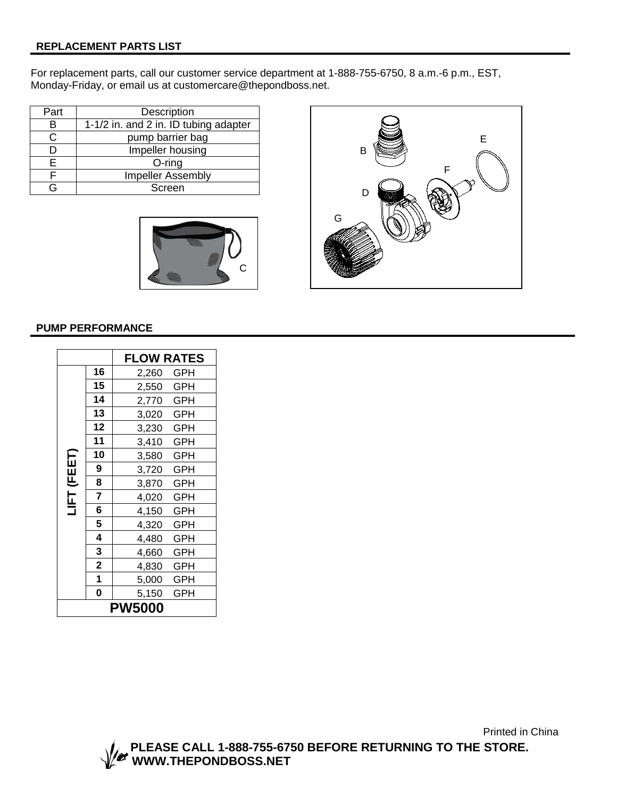#### **REPLACEMENT PARTS LIST**

For replacement parts, call our customer service department at 1-888-755-6750, 8 a.m.-6 p.m., EST, Monday-Friday, or email us at customercare@thepondboss.net.

| Part | Description                           |
|------|---------------------------------------|
| в    | 1-1/2 in. and 2 in. ID tubing adapter |
| C.   | pump barrier bag                      |
|      | Impeller housing                      |
| F    | $O$ -ring                             |
|      | Impeller Assembly                     |
|      | Screen                                |





#### **PUMP PERFORMANCE**

|               |             | <b>FLOW RATES</b>   |  |  |  |
|---------------|-------------|---------------------|--|--|--|
|               | 16          | 2,260 GPH           |  |  |  |
|               | 15          | 2,550 GPH           |  |  |  |
|               | 14          | 2,770 GPH           |  |  |  |
|               | 13          | 3,020 GPH           |  |  |  |
|               | 12          | 3,230 GPH           |  |  |  |
|               | 11          | 3,410 GPH           |  |  |  |
| (FEET)        | 10          | 3,580 GPH           |  |  |  |
|               | 9           | 3,720 GPH           |  |  |  |
|               | 8           | 3,870 GPH           |  |  |  |
| LIF           | 7           | 4,020 GPH           |  |  |  |
|               | 6           | 4,150 GPH           |  |  |  |
|               | 5           | 4,320 GPH           |  |  |  |
|               | 4           | 4,480<br>GPH        |  |  |  |
|               | 3           | 4,660 GPH           |  |  |  |
|               | $\mathbf 2$ | 4,830<br><b>GPH</b> |  |  |  |
|               | 1           | 5,000 GPH           |  |  |  |
|               | 0           | 5,150<br>GPH        |  |  |  |
| <b>PW5000</b> |             |                     |  |  |  |